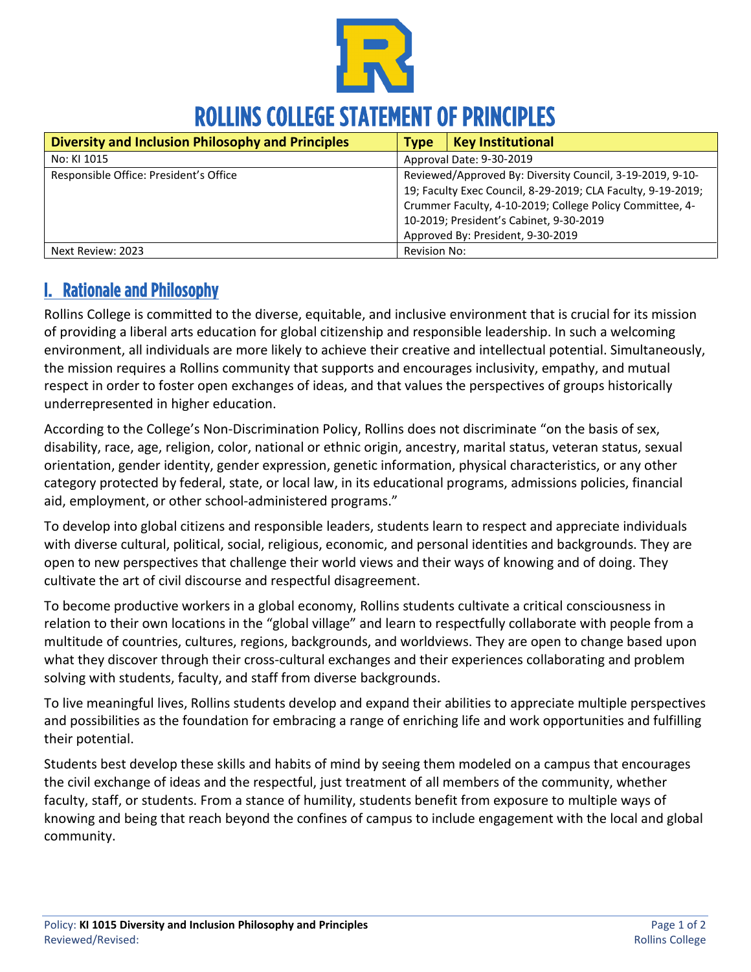

# ROLLINS COLLEGE STATEMENT OF PRINCIPLES

| Diversity and Inclusion Philosophy and Principles | <b>Type</b>                                                                                                                                                                                                                                                           | <b>Key Institutional</b> |
|---------------------------------------------------|-----------------------------------------------------------------------------------------------------------------------------------------------------------------------------------------------------------------------------------------------------------------------|--------------------------|
| No: KI 1015                                       | Approval Date: 9-30-2019                                                                                                                                                                                                                                              |                          |
| Responsible Office: President's Office            | Reviewed/Approved By: Diversity Council, 3-19-2019, 9-10-<br>19; Faculty Exec Council, 8-29-2019; CLA Faculty, 9-19-2019;<br>Crummer Faculty, 4-10-2019; College Policy Committee, 4-<br>10-2019; President's Cabinet, 9-30-2019<br>Approved By: President, 9-30-2019 |                          |
| Next Review: 2023                                 | Revision No:                                                                                                                                                                                                                                                          |                          |

## I. Rationale and Philosophy

Rollins College is committed to the diverse, equitable, and inclusive environment that is crucial for its mission of providing a liberal arts education for global citizenship and responsible leadership. In such a welcoming environment, all individuals are more likely to achieve their creative and intellectual potential. Simultaneously, the mission requires a Rollins community that supports and encourages inclusivity, empathy, and mutual respect in order to foster open exchanges of ideas, and that values the perspectives of groups historically underrepresented in higher education.

According to the College's Non-Discrimination Policy, Rollins does not discriminate "on the basis of sex, disability, race, age, religion, color, national or ethnic origin, ancestry, marital status, veteran status, sexual orientation, gender identity, gender expression, genetic information, physical characteristics, or any other category protected by federal, state, or local law, in its educational programs, admissions policies, financial aid, employment, or other school-administered programs."

To develop into global citizens and responsible leaders, students learn to respect and appreciate individuals with diverse cultural, political, social, religious, economic, and personal identities and backgrounds. They are open to new perspectives that challenge their world views and their ways of knowing and of doing. They cultivate the art of civil discourse and respectful disagreement.

To become productive workers in a global economy, Rollins students cultivate a critical consciousness in relation to their own locations in the "global village" and learn to respectfully collaborate with people from a multitude of countries, cultures, regions, backgrounds, and worldviews. They are open to change based upon what they discover through their cross-cultural exchanges and their experiences collaborating and problem solving with students, faculty, and staff from diverse backgrounds.

To live meaningful lives, Rollins students develop and expand their abilities to appreciate multiple perspectives and possibilities as the foundation for embracing a range of enriching life and work opportunities and fulfilling their potential.

Students best develop these skills and habits of mind by seeing them modeled on a campus that encourages the civil exchange of ideas and the respectful, just treatment of all members of the community, whether faculty, staff, or students. From a stance of humility, students benefit from exposure to multiple ways of knowing and being that reach beyond the confines of campus to include engagement with the local and global community.